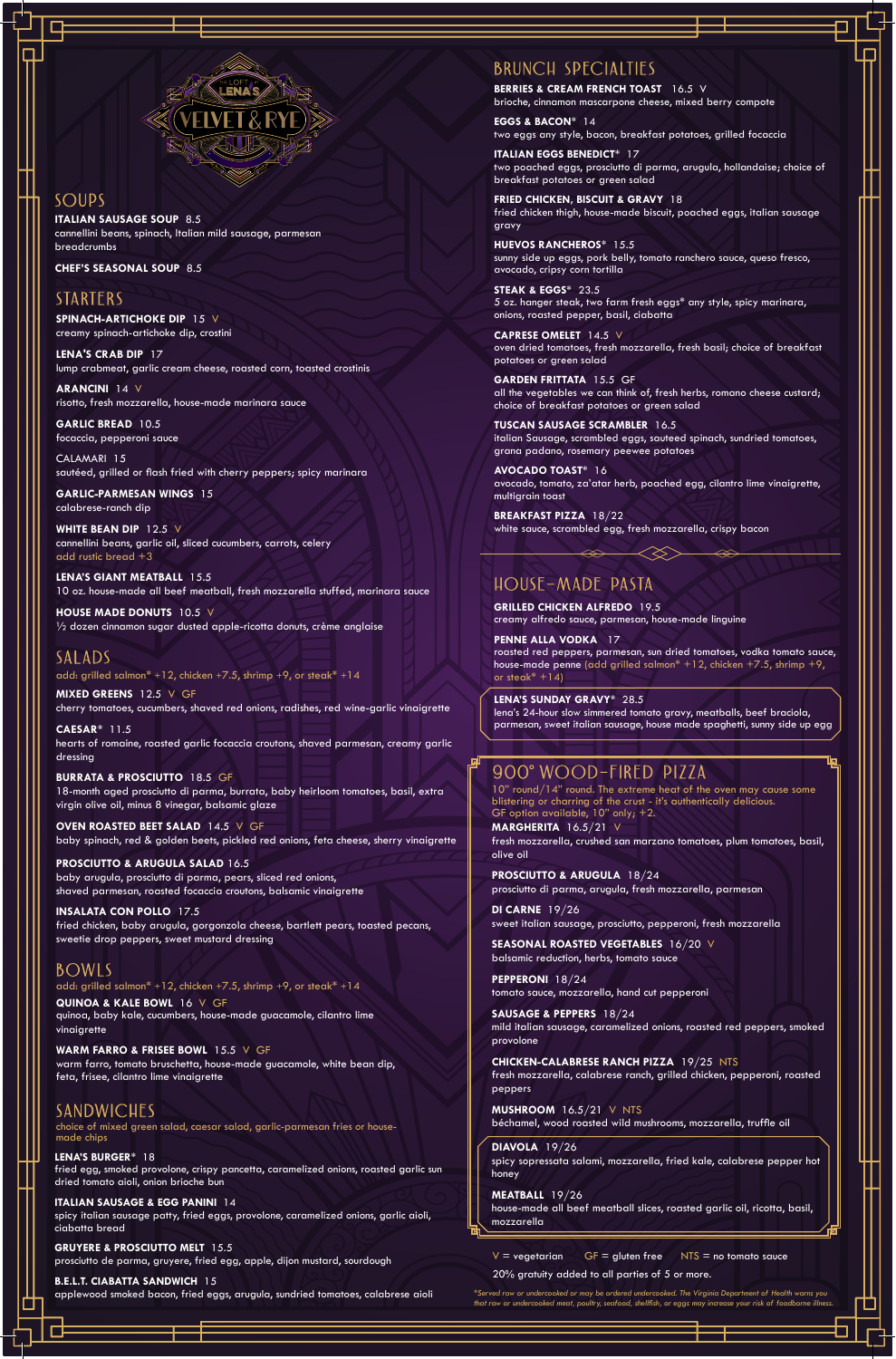

#### Soups

*\*Served raw or undercooked or may be ordered undercooked. The Virginia Department of Health warns you that raw or undercooked meat, poultry, seafood, shellfish, or eggs may increase your risk of foodborne illness.*

20% gratuity added to all parties of 5 or more.

## Brunch Specialties

10" round/14" round. The extreme heat of the oven may cause some blistering or charring of the crust - it's authentically delicious. GF option available, 10" only; +2.

## 900 Wood-Fired Pizza

**MARGHERITA** 16.5/21 V fresh mozzarella, crushed san marzano tomatoes, plum tomatoes, basil, olive oil

**PROSCIUTTO & ARUGULA** 18/24 prosciutto di parma, arugula, fresh mozzarella, parmesan

**DI CARNE** 19/26 sweet italian sausage, prosciutto, pepperoni, fresh mozzarella

**SEASONAL ROASTED VEGETABLES** 16/20 V balsamic reduction, herbs, tomato sauce

**PEPPERONI** 18/24 tomato sauce, mozzarella, hand cut pepperoni

**SAUSAGE & PEPPERS** 18/24 mild italian sausage, caramelized onions, roasted red peppers, smoked provolone

**CHICKEN-CALABRESE RANCH PIZZA** 19/25 NTS fresh mozzarella, calabrese ranch, grilled chicken, pepperoni, roasted peppers

**MUSHROOM** 16.5/21 V NTS béchamel, wood roasted wild mushrooms, mozzarella, truffle oil

#### **DIAVOLA** 19/26

spicy sopressata salami, mozzarella, fried kale, calabrese pepper hot honey

#### **MEATBALL** 19/26

house-made all beef meatball slices, roasted garlic oil, ricotta, basil, mozzarella

 $V =$  vegetarian  $GF =$  gluten free  $NTS =$  no tomato sauce

**BERRIES & CREAM FRENCH TOAST** 16.5 V brioche, cinnamon mascarpone cheese, mixed berry compote

**EGGS & BACON**\* 14 two eggs any style, bacon, breakfast potatoes, grilled focaccia

**ITALIAN EGGS BENEDICT**\* 17 two poached eggs, prosciutto di parma, arugula, hollandaise; choice of breakfast potatoes or green salad

**FRIED CHICKEN, BISCUIT & GRAVY** 18 fried chicken thigh, house-made biscuit, poached eggs, italian sausage gravy

**HUEVOS RANCHEROS**\* 15.5 sunny side up eggs, pork belly, tomato ranchero sauce, queso fresco, avocado, cripsy corn tortilla

**STEAK & EGGS**\* 23.5 5 oz. hanger steak, two farm fresh eggs\* any style, spicy marinara, onions, roasted pepper, basil, ciabatta

**CAPRESE OMELET** 14.5 V oven dried tomatoes, fresh mozzarella, fresh basil; choice of breakfast potatoes or green salad

**GARDEN FRITTATA** 15.5 GF all the vegetables we can think of, fresh herbs, romano cheese custard; choice of breakfast potatoes or green salad

**TUSCAN SAUSAGE SCRAMBLER** 16.5 italian Sausage, scrambled eggs, sauteed spinach, sundried tomatoes, grana padano, rosemary peewee potatoes

**AVOCADO TOAST**\* 16 avocado, tomato, za'atar herb, poached egg, cilantro lime vinaigrette, multigrain toast

**BREAKFAST PIZZA** 18/22 white sauce, scrambled egg, fresh mozzarella, crispy bacon

## HOUSE-MADE PASTA

**PENNE ALLA VODKA** 17 roasted red peppers, parmesan, sun dried tomatoes, vodka tomato sauce, house-made penne (add grilled salmon\*  $+12$ , chicken  $+7.5$ , shrimp  $+9$ , or steak $* +14$ )

**ITALIAN SAUSAGE SOUP** 8.5 cannellini beans, spinach, Italian mild sausage, parmesan breadcrumbs

**CHEF'S SEASONAL SOUP** 8.5

#### **STARTERS**

choice of mixed green salad, caesar salad, garlic-parmesan fries or housemade chips

#### **LENA'S BURGER**\* 18

fried egg, smoked provolone, crispy pancetta, caramelized onions, roasted garlic sun dried tomato aioli, onion brioche bun

#### **ITALIAN SAUSAGE & EGG PANINI** 14

spicy italian sausage patty, fried eggs, provolone, caramelized onions, garlic aioli, ciabatta bread

**GRUYERE & PROSCIUTTO MELT** 15.5 prosciutto de parma, gruyere, fried egg, apple, dijon mustard, sourdough

**B.E.L.T. CIABATTA SANDWICH** 15 applewood smoked bacon, fried eggs, arugula, sundried tomatoes, calabrese aioli

**MIXED GREENS** 12.5 V GF cherry tomatoes, cucumbers, shaved red onions, radishes, red wine-garlic vinaigrette

**CAESAR**\* 11.5 hearts of romaine, roasted garlic focaccia croutons, shaved parmesan, creamy garlic dressing

**BURRATA & PROSCIUTTO** 18.5 GF 18-month aged prosciutto di parma, burrata, baby heirloom tomatoes, basil, extra virgin olive oil, minus 8 vinegar, balsamic glaze

**OVEN ROASTED BEET SALAD** 14.5 V GF baby spinach, red & golden beets, pickled red onions, feta cheese, sherry vinaigrette

**PROSCIUTTO & ARUGULA SALAD** 16.5 baby arugula, prosciutto di parma, pears, sliced red onions, shaved parmesan, roasted focaccia croutons, balsamic vinaigrette

**INSALATA CON POLLO** 17.5 fried chicken, baby arugula, gorgonzola cheese, bartlett pears, toasted pecans, sweetie drop peppers, sweet mustard dressing

**SPINACH-ARTICHOKE DIP** 15 V creamy spinach-artichoke dip, crostini

**LENA'S CRAB DIP** 17 lump crabmeat, garlic cream cheese, roasted corn, toasted crostinis

**ARANCINI** 14 V risotto, fresh mozzarella, house-made marinara sauce

**GARLIC BREAD** 10.5 focaccia, pepperoni sauce

CALAMARI 15 sautéed, grilled or flash fried with cherry peppers; spicy marinara

**GARLIC-PARMESAN WINGS** 15 calabrese-ranch dip

**WHITE BEAN DIP** 12.5 V cannellini beans, garlic oil, sliced cucumbers, carrots, celery add rustic bread +3

**LENA'S GIANT MEATBALL** 15.5 10 oz. house-made all beef meatball, fresh mozzarella stuffed, marinara sauce

**HOUSE MADE DONUTS** 10.5 V ½ dozen cinnamon sugar dusted apple-ricotta donuts, crème anglaise

**SALADS** add: grilled salmon\* +12, chicken +7.5, shrimp +9, or steak\* +14

**QUINOA & KALE BOWL** 16 V GF quinoa, baby kale, cucumbers, house-made guacamole, cilantro lime vinaigrette

#### **WARM FARRO & FRISEE BOWL** 15.5 V GF warm farro, tomato bruschetta, house-made guacamole, white bean dip, feta, frisee, cilantro lime vinaigrette

#### **SANDWICHES**

#### BOWLS

add: grilled salmon\* +12, chicken +7.5, shrimp +9, or steak\* +14

**GRILLED CHICKEN ALFREDO** 19.5 creamy alfredo sauce, parmesan, house-made linguine

**LENA'S SUNDAY GRAVY**\* 28.5 lena's 24-hour slow simmered tomato gravy, meatballs, beef braciola, parmesan, sweet italian sausage, house made spaghetti, sunny side up egg